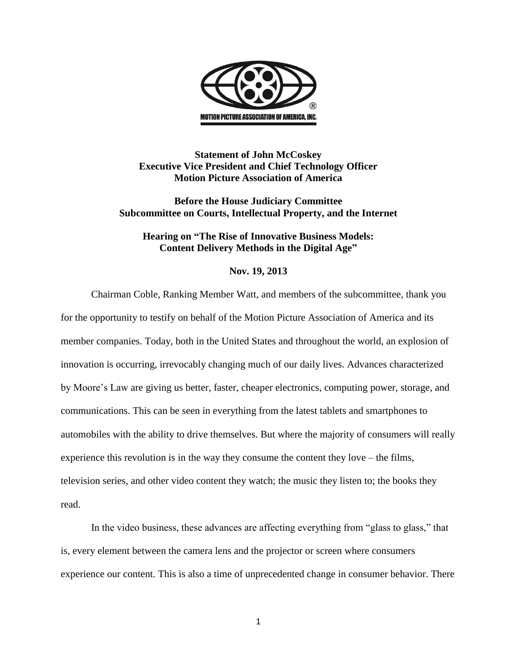

## **Statement of John McCoskey Executive Vice President and Chief Technology Officer Motion Picture Association of America**

**Before the House Judiciary Committee Subcommittee on Courts, Intellectual Property, and the Internet**

## **Hearing on "The Rise of Innovative Business Models: Content Delivery Methods in the Digital Age"**

## **Nov. 19, 2013**

Chairman Coble, Ranking Member Watt, and members of the subcommittee, thank you for the opportunity to testify on behalf of the Motion Picture Association of America and its member companies. Today, both in the United States and throughout the world, an explosion of innovation is occurring, irrevocably changing much of our daily lives. Advances characterized by Moore's Law are giving us better, faster, cheaper electronics, computing power, storage, and communications. This can be seen in everything from the latest tablets and smartphones to automobiles with the ability to drive themselves. But where the majority of consumers will really experience this revolution is in the way they consume the content they love – the films, television series, and other video content they watch; the music they listen to; the books they read.

In the video business, these advances are affecting everything from "glass to glass," that is, every element between the camera lens and the projector or screen where consumers experience our content. This is also a time of unprecedented change in consumer behavior. There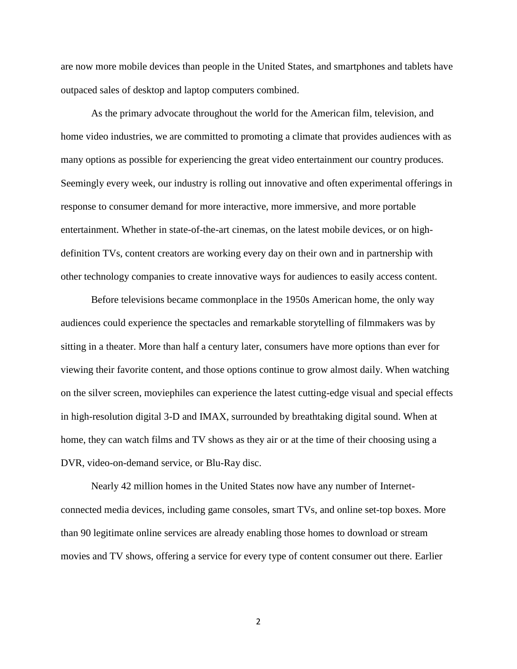are now more mobile devices than people in the United States, and smartphones and tablets have outpaced sales of desktop and laptop computers combined.

As the primary advocate throughout the world for the American film, television, and home video industries, we are committed to promoting a climate that provides audiences with as many options as possible for experiencing the great video entertainment our country produces. Seemingly every week, our industry is rolling out innovative and often experimental offerings in response to consumer demand for more interactive, more immersive, and more portable entertainment. Whether in state-of-the-art cinemas, on the latest mobile devices, or on highdefinition TVs, content creators are working every day on their own and in partnership with other technology companies to create innovative ways for audiences to easily access content.

Before televisions became commonplace in the 1950s American home, the only way audiences could experience the spectacles and remarkable storytelling of filmmakers was by sitting in a theater. More than half a century later, consumers have more options than ever for viewing their favorite content, and those options continue to grow almost daily. When watching on the silver screen, moviephiles can experience the latest cutting-edge visual and special effects in high-resolution digital 3-D and IMAX, surrounded by breathtaking digital sound. When at home, they can watch films and TV shows as they air or at the time of their choosing using a DVR, video-on-demand service, or Blu-Ray disc.

Nearly 42 million homes in the United States now have any number of Internetconnected media devices, including game consoles, smart TVs, and online set-top boxes. More than 90 legitimate online services are already enabling those homes to download or stream movies and TV shows, offering a service for every type of content consumer out there. Earlier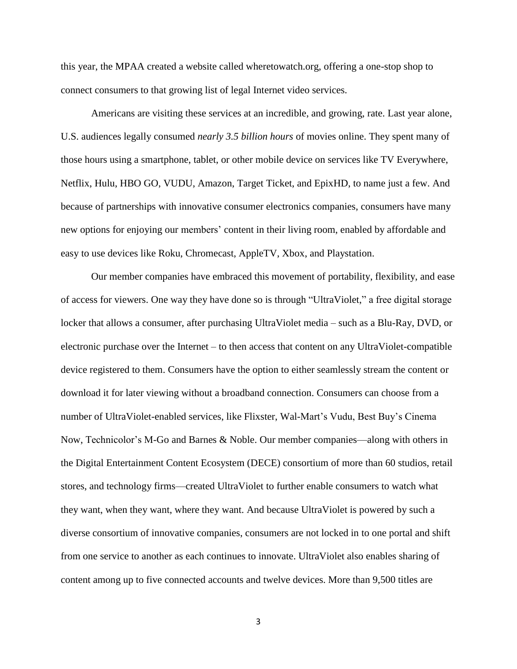this year, the MPAA created a website called wheretowatch.org, offering a one-stop shop to connect consumers to that growing list of legal Internet video services.

Americans are visiting these services at an incredible, and growing, rate. Last year alone, U.S. audiences legally consumed *nearly 3.5 billion hours* of movies online. They spent many of those hours using a smartphone, tablet, or other mobile device on services like TV Everywhere, Netflix, Hulu, HBO GO, VUDU, Amazon, Target Ticket, and EpixHD, to name just a few. And because of partnerships with innovative consumer electronics companies, consumers have many new options for enjoying our members' content in their living room, enabled by affordable and easy to use devices like Roku, Chromecast, AppleTV, Xbox, and Playstation.

Our member companies have embraced this movement of portability, flexibility, and ease of access for viewers. One way they have done so is through "UltraViolet," a free digital storage locker that allows a consumer, after purchasing UltraViolet media – such as a Blu-Ray, DVD, or electronic purchase over the Internet – to then access that content on any UltraViolet-compatible device registered to them. Consumers have the option to either seamlessly stream the content or download it for later viewing without a broadband connection. Consumers can choose from a number of UltraViolet-enabled services, like Flixster, Wal-Mart's Vudu, Best Buy's Cinema Now, Technicolor's M-Go and Barnes & Noble. Our member companies—along with others in the Digital Entertainment Content Ecosystem (DECE) consortium of more than 60 studios, retail stores, and technology firms—created UltraViolet to further enable consumers to watch what they want, when they want, where they want. And because UltraViolet is powered by such a diverse consortium of innovative companies, consumers are not locked in to one portal and shift from one service to another as each continues to innovate. UltraViolet also enables sharing of content among up to five connected accounts and twelve devices. More than 9,500 titles are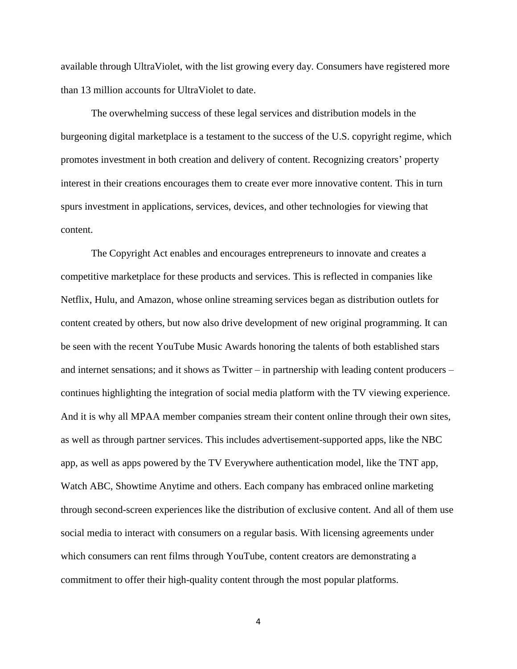available through UltraViolet, with the list growing every day. Consumers have registered more than 13 million accounts for UltraViolet to date.

The overwhelming success of these legal services and distribution models in the burgeoning digital marketplace is a testament to the success of the U.S. copyright regime, which promotes investment in both creation and delivery of content. Recognizing creators' property interest in their creations encourages them to create ever more innovative content. This in turn spurs investment in applications, services, devices, and other technologies for viewing that content.

The Copyright Act enables and encourages entrepreneurs to innovate and creates a competitive marketplace for these products and services. This is reflected in companies like Netflix, Hulu, and Amazon, whose online streaming services began as distribution outlets for content created by others, but now also drive development of new original programming. It can be seen with the recent YouTube Music Awards honoring the talents of both established stars and internet sensations; and it shows as Twitter – in partnership with leading content producers – continues highlighting the integration of social media platform with the TV viewing experience. And it is why all MPAA member companies stream their content online through their own sites, as well as through partner services. This includes advertisement-supported apps, like the NBC app, as well as apps powered by the TV Everywhere authentication model, like the TNT app, Watch ABC, Showtime Anytime and others. Each company has embraced online marketing through second-screen experiences like the distribution of exclusive content. And all of them use social media to interact with consumers on a regular basis. With licensing agreements under which consumers can rent films through YouTube, content creators are demonstrating a commitment to offer their high-quality content through the most popular platforms.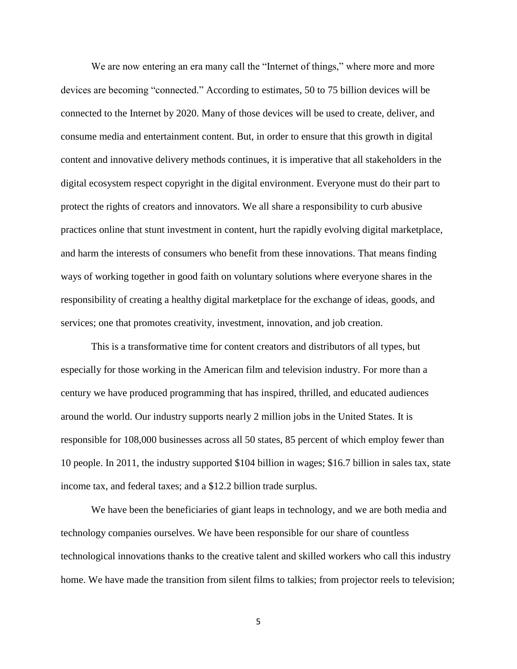We are now entering an era many call the "Internet of things," where more and more devices are becoming "connected." According to estimates, 50 to 75 billion devices will be connected to the Internet by 2020. Many of those devices will be used to create, deliver, and consume media and entertainment content. But, in order to ensure that this growth in digital content and innovative delivery methods continues, it is imperative that all stakeholders in the digital ecosystem respect copyright in the digital environment. Everyone must do their part to protect the rights of creators and innovators. We all share a responsibility to curb abusive practices online that stunt investment in content, hurt the rapidly evolving digital marketplace, and harm the interests of consumers who benefit from these innovations. That means finding ways of working together in good faith on voluntary solutions where everyone shares in the responsibility of creating a healthy digital marketplace for the exchange of ideas, goods, and services; one that promotes creativity, investment, innovation, and job creation.

This is a transformative time for content creators and distributors of all types, but especially for those working in the American film and television industry. For more than a century we have produced programming that has inspired, thrilled, and educated audiences around the world. Our industry supports nearly 2 million jobs in the United States. It is responsible for 108,000 businesses across all 50 states, 85 percent of which employ fewer than 10 people. In 2011, the industry supported \$104 billion in wages; \$16.7 billion in sales tax, state income tax, and federal taxes; and a \$12.2 billion trade surplus.

We have been the beneficiaries of giant leaps in technology, and we are both media and technology companies ourselves. We have been responsible for our share of countless technological innovations thanks to the creative talent and skilled workers who call this industry home. We have made the transition from silent films to talkies; from projector reels to television;